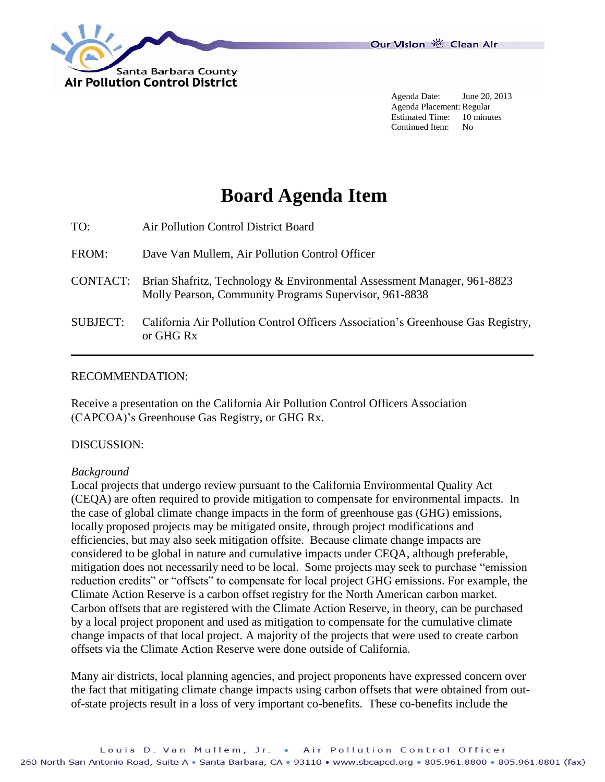

Agenda Date: June 20, 2013 Agenda Placement: Regular Estimated Time: 10 minutes Continued Item: No

# **Board Agenda Item**

| TO: | Air Pollution Control District Board |  |
|-----|--------------------------------------|--|
|     |                                      |  |

- FROM: Dave Van Mullem, Air Pollution Control Officer
- CONTACT: Brian Shafritz, Technology & Environmental Assessment Manager, 961-8823 Molly Pearson, Community Programs Supervisor, 961-8838
- SUBJECT: California Air Pollution Control Officers Association's Greenhouse Gas Registry, or GHG Rx

#### RECOMMENDATION:

Receive a presentation on the California Air Pollution Control Officers Association (CAPCOA)'s Greenhouse Gas Registry, or GHG Rx.

#### DISCUSSION:

#### *Background*

Local projects that undergo review pursuant to the California Environmental Quality Act (CEQA) are often required to provide mitigation to compensate for environmental impacts. In the case of global climate change impacts in the form of greenhouse gas (GHG) emissions, locally proposed projects may be mitigated onsite, through project modifications and efficiencies, but may also seek mitigation offsite. Because climate change impacts are considered to be global in nature and cumulative impacts under CEQA, although preferable, mitigation does not necessarily need to be local. Some projects may seek to purchase "emission reduction credits" or "offsets" to compensate for local project GHG emissions. For example, the Climate Action Reserve is a carbon offset registry for the North American carbon market. Carbon offsets that are registered with the Climate Action Reserve, in theory, can be purchased by a local project proponent and used as mitigation to compensate for the cumulative climate change impacts of that local project. A majority of the projects that were used to create carbon offsets via the Climate Action Reserve were done outside of California.

Many air districts, local planning agencies, and project proponents have expressed concern over the fact that mitigating climate change impacts using carbon offsets that were obtained from outof-state projects result in a loss of very important co-benefits. These co-benefits include the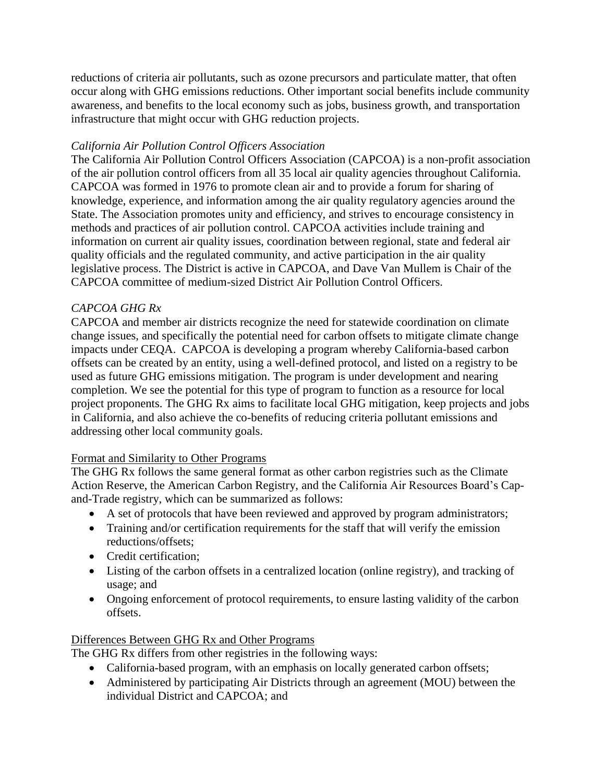reductions of criteria air pollutants, such as ozone precursors and particulate matter, that often occur along with GHG emissions reductions. Other important social benefits include community awareness, and benefits to the local economy such as jobs, business growth, and transportation infrastructure that might occur with GHG reduction projects.

## *California Air Pollution Control Officers Association*

The California Air Pollution Control Officers Association (CAPCOA) is a non-profit association of the air pollution control officers from all 35 local air quality agencies throughout California. CAPCOA was formed in 1976 to promote clean air and to provide a forum for sharing of knowledge, experience, and information among the air quality regulatory agencies around the State. The Association promotes unity and efficiency, and strives to encourage consistency in methods and practices of air pollution control. CAPCOA activities include training and information on current air quality issues, coordination between regional, state and federal air quality officials and the regulated community, and active participation in the air quality legislative process. The District is active in CAPCOA, and Dave Van Mullem is Chair of the CAPCOA committee of medium-sized District Air Pollution Control Officers.

## *CAPCOA GHG Rx*

CAPCOA and member air districts recognize the need for statewide coordination on climate change issues, and specifically the potential need for carbon offsets to mitigate climate change impacts under CEQA. CAPCOA is developing a program whereby California-based carbon offsets can be created by an entity, using a well-defined protocol, and listed on a registry to be used as future GHG emissions mitigation. The program is under development and nearing completion. We see the potential for this type of program to function as a resource for local project proponents. The GHG Rx aims to facilitate local GHG mitigation, keep projects and jobs in California, and also achieve the co-benefits of reducing criteria pollutant emissions and addressing other local community goals.

### Format and Similarity to Other Programs

The GHG Rx follows the same general format as other carbon registries such as the Climate Action Reserve, the American Carbon Registry, and the California Air Resources Board's Capand-Trade registry, which can be summarized as follows:

- A set of protocols that have been reviewed and approved by program administrators;
- Training and/or certification requirements for the staff that will verify the emission reductions/offsets;
- Credit certification:
- Listing of the carbon offsets in a centralized location (online registry), and tracking of usage; and
- Ongoing enforcement of protocol requirements, to ensure lasting validity of the carbon offsets.

### Differences Between GHG Rx and Other Programs

The GHG Rx differs from other registries in the following ways:

- California-based program, with an emphasis on locally generated carbon offsets;
- Administered by participating Air Districts through an agreement (MOU) between the individual District and CAPCOA; and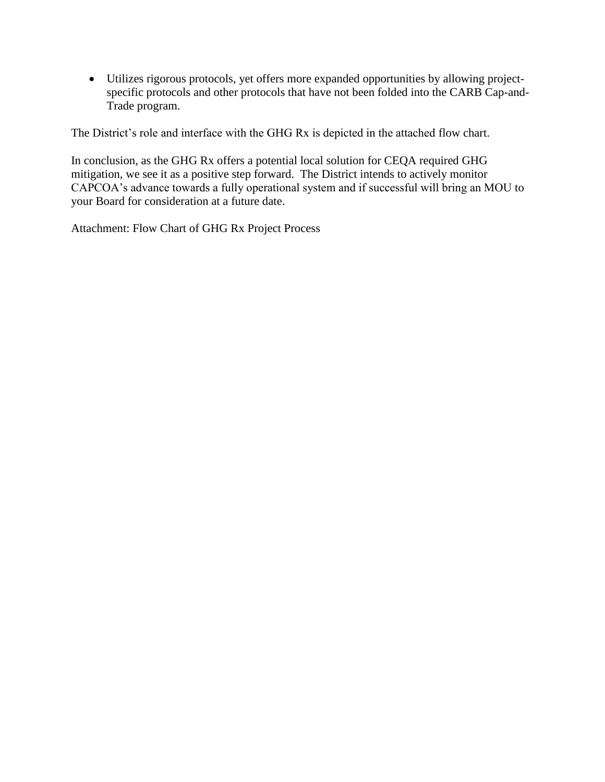Utilizes rigorous protocols, yet offers more expanded opportunities by allowing projectspecific protocols and other protocols that have not been folded into the CARB Cap-and-Trade program.

The District's role and interface with the GHG Rx is depicted in the attached flow chart.

In conclusion, as the GHG Rx offers a potential local solution for CEQA required GHG mitigation, we see it as a positive step forward. The District intends to actively monitor CAPCOA's advance towards a fully operational system and if successful will bring an MOU to your Board for consideration at a future date.

Attachment: Flow Chart of GHG Rx Project Process